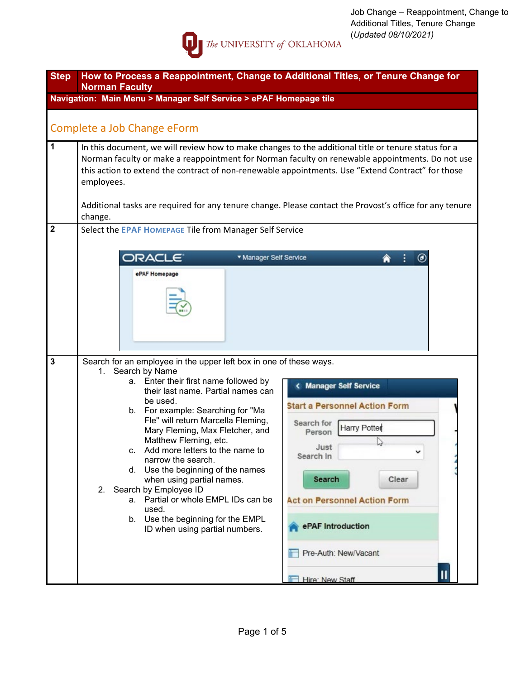

| <b>Step</b>             | How to Process a Reappointment, Change to Additional Titles, or Tenure Change for<br><b>Norman Faculty</b>                                                                                                                                                                                                                                                                                                                                                                                                                                                                                              |                                                                                                                                                                                                                                                                   |
|-------------------------|---------------------------------------------------------------------------------------------------------------------------------------------------------------------------------------------------------------------------------------------------------------------------------------------------------------------------------------------------------------------------------------------------------------------------------------------------------------------------------------------------------------------------------------------------------------------------------------------------------|-------------------------------------------------------------------------------------------------------------------------------------------------------------------------------------------------------------------------------------------------------------------|
|                         | Navigation: Main Menu > Manager Self Service > ePAF Homepage tile                                                                                                                                                                                                                                                                                                                                                                                                                                                                                                                                       |                                                                                                                                                                                                                                                                   |
|                         | Complete a Job Change eForm                                                                                                                                                                                                                                                                                                                                                                                                                                                                                                                                                                             |                                                                                                                                                                                                                                                                   |
| $\mathbf{1}$            | In this document, we will review how to make changes to the additional title or tenure status for a<br>Norman faculty or make a reappointment for Norman faculty on renewable appointments. Do not use<br>this action to extend the contract of non-renewable appointments. Use "Extend Contract" for those<br>employees.<br>Additional tasks are required for any tenure change. Please contact the Provost's office for any tenure<br>change.                                                                                                                                                         |                                                                                                                                                                                                                                                                   |
| $\overline{\mathbf{2}}$ | Select the EPAF HOMEPAGE Tile from Manager Self Service<br><b>ORACLE</b><br>* Manager Self Service<br>ePAF Homepage                                                                                                                                                                                                                                                                                                                                                                                                                                                                                     | $\boldsymbol{\omega}$                                                                                                                                                                                                                                             |
| $\mathbf 3$             | Search for an employee in the upper left box in one of these ways.<br>1. Search by Name<br>a. Enter their first name followed by<br>their last name. Partial names can<br>be used.<br>b. For example: Searching for "Ma<br>Fle" will return Marcella Fleming,<br>Mary Fleming, Max Fletcher, and<br>Matthew Fleming, etc.<br>Add more letters to the name to<br>narrow the search.<br>d. Use the beginning of the names<br>when using partial names.<br>2. Search by Employee ID<br>a. Partial or whole EMPL IDs can be<br>used.<br>b. Use the beginning for the EMPL<br>ID when using partial numbers. | <b>Manager Self Service</b><br><b>Start a Personnel Action Form</b><br>Search for<br><b>Harry Potter</b><br>Person<br>Just<br>Search In<br>Search<br>Clear<br><b>Act on Personnel Action Form</b><br>ePAF Introduction<br>Pre-Auth: New/Vacant<br>Hire: New Staff |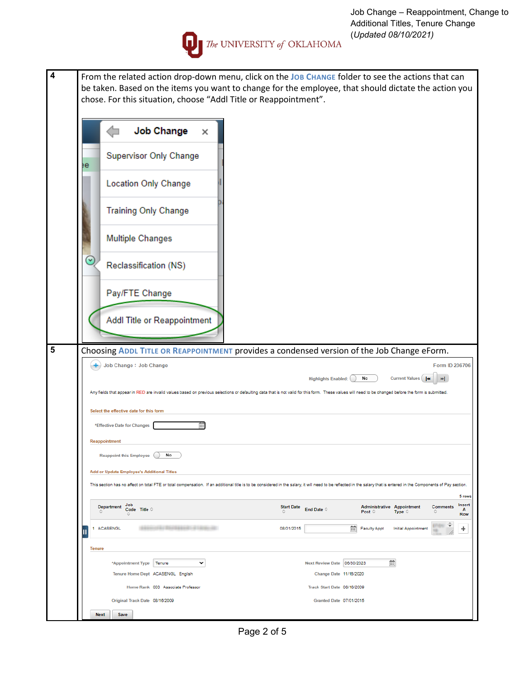

**4** From the related action drop-down menu, click on the **JOB CHANGE** folder to see the actions that can

|                      |                                | <b>Job Change</b>                                                                                                                                                                                                     | ×           |                   |                             |                          |                                             |                |
|----------------------|--------------------------------|-----------------------------------------------------------------------------------------------------------------------------------------------------------------------------------------------------------------------|-------------|-------------------|-----------------------------|--------------------------|---------------------------------------------|----------------|
|                      |                                | <b>Supervisor Only Change</b>                                                                                                                                                                                         |             |                   |                             |                          |                                             |                |
| ٠e                   |                                | <b>Location Only Change</b>                                                                                                                                                                                           |             |                   |                             |                          |                                             |                |
|                      |                                |                                                                                                                                                                                                                       |             |                   |                             |                          |                                             |                |
|                      |                                | <b>Training Only Change</b>                                                                                                                                                                                           |             |                   |                             |                          |                                             |                |
|                      |                                | <b>Multiple Changes</b>                                                                                                                                                                                               |             |                   |                             |                          |                                             |                |
| $\ddot{\phantom{0}}$ |                                | Reclassification (NS)                                                                                                                                                                                                 |             |                   |                             |                          |                                             |                |
|                      |                                | Pay/FTE Change                                                                                                                                                                                                        |             |                   |                             |                          |                                             |                |
|                      |                                | Addl Title or Reappointment                                                                                                                                                                                           |             |                   |                             |                          |                                             |                |
|                      |                                | Choosing ADDL TITLE OR REAPPOINTMENT provides a condensed version of the Job Change eForm.                                                                                                                            |             |                   |                             |                          |                                             |                |
|                      |                                | Job Change: Job Change                                                                                                                                                                                                |             |                   |                             |                          |                                             | Form ID 236706 |
|                      |                                | Any fields that appear in RED are invalid values based on previous selections or defaulting data that is not valid for this form. These values will need to be changed before the form is submitted.                  |             |                   | <b>Highlights Enabled:</b>  | No                       | Current Values                              | ыĪ.            |
|                      |                                |                                                                                                                                                                                                                       |             |                   |                             |                          |                                             |                |
|                      | *Effective Date for Changes    | Select the effective date for this form                                                                                                                                                                               | 丽           |                   |                             |                          |                                             |                |
|                      | Reappointment                  |                                                                                                                                                                                                                       |             |                   |                             |                          |                                             |                |
|                      | <b>Reappoint this Employee</b> | No                                                                                                                                                                                                                    |             |                   |                             |                          |                                             |                |
|                      |                                | Add or Update Employee's Additional Titles                                                                                                                                                                            |             |                   |                             |                          |                                             |                |
|                      |                                | This section has no affect on total FTE or total compensation. If an additional title is to be considered in the salary, it will need to be reflected in the salary that is entered in the Components of Pay section. |             |                   |                             |                          |                                             |                |
|                      | <b>Department</b>              | Job<br>Code Title ©                                                                                                                                                                                                   |             | <b>Start Date</b> | End Date ©                  | Post $\circ$             | <b>Administrative Appointment</b><br>Type 0 | Comments<br>o  |
|                      |                                |                                                                                                                                                                                                                       |             | 08/01/2015        |                             | 崗<br><b>Faculty Appt</b> | <b>Initial Appointment</b>                  | 口はり<br>ш       |
| 1                    | <b>ACASENGL</b>                |                                                                                                                                                                                                                       |             |                   |                             |                          |                                             |                |
| Tenure               |                                |                                                                                                                                                                                                                       |             |                   |                             |                          |                                             |                |
|                      |                                | *Appointment Type<br>Tenure                                                                                                                                                                                           | $\check{ }$ |                   | Next Review Date 06/30/2023 |                          | 蘦                                           |                |
|                      |                                | Tenure Home Dept ACASENGL English                                                                                                                                                                                     |             |                   | Change Date 11/16/2020      |                          |                                             |                |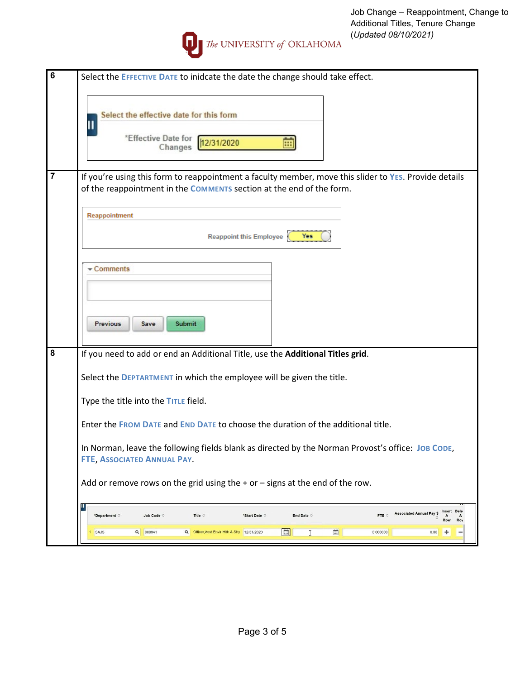

|   | The UNIVERSITY of OKLAHOMA                                                                                               | (Update |
|---|--------------------------------------------------------------------------------------------------------------------------|---------|
| 6 | Select the EFFECTIVE DATE to inidcate the date the change should take effect.<br>Select the effective date for this form |         |
|   | *Effective Date for<br>12/31/2020<br>Changes                                                                             |         |

| If you're using this form to reappointment a faculty member, move this slider to YES. Provide details |
|-------------------------------------------------------------------------------------------------------|
| of the reappointment in the <b>COMMENTS</b> section at the end of the form.                           |
|                                                                                                       |

| Reappointment                                                                  |
|--------------------------------------------------------------------------------|
| <b>Reappoint this Employee</b><br>Yes                                          |
| $\sqrt{\frac{1}{2}}$ Comments                                                  |
| <b>Previous</b><br>Submit<br>Save                                              |
| If you need to add or end an Additional Title, use the Additional Titles grid. |
| Select the <b>DEPTARTMENT</b> in which the employee will be given the title.   |
| Type the title into the TITLE field.                                           |

Enter the **FROM DATE** and **END DATE** to choose the duration of the additional title.

In Norman, leave the following fields blank as directed by the Norman Provost's office: **JOB CODE**, **FTE**, **ASSOCIATED ANNUAL PAY**.

Add or remove rows on the grid using the  $+$  or  $-$  signs at the end of the row.

| *Department © |          | Job Code $\Diamond$ |          | Title $\circ$                              | *Start Date $\diamond$ |   | End Date $\circ$ |   | FTE 0    | <b>Associated Annual Pay \$</b> | Insert Dele<br>$\ddot{\phantom{1}}$<br>Row |
|---------------|----------|---------------------|----------|--------------------------------------------|------------------------|---|------------------|---|----------|---------------------------------|--------------------------------------------|
| SAJS          | $\Omega$ | 000941              | $\alpha$ | Officer, Asst Envir Hith & Sfty 12/31/2020 |                        | 画 |                  | 曲 | 0.000000 | 0.00                            |                                            |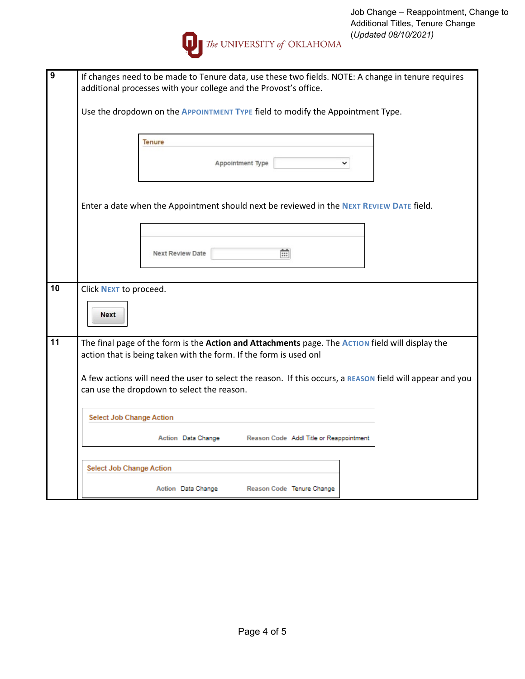

| 9  | If changes need to be made to Tenure data, use these two fields. NOTE: A change in tenure requires        |
|----|-----------------------------------------------------------------------------------------------------------|
|    | additional processes with your college and the Provost's office.                                          |
|    |                                                                                                           |
|    | Use the dropdown on the APPOINTMENT TYPE field to modify the Appointment Type.                            |
|    |                                                                                                           |
|    | <b>Tenure</b>                                                                                             |
|    |                                                                                                           |
|    | Appointment Type                                                                                          |
|    |                                                                                                           |
|    |                                                                                                           |
|    |                                                                                                           |
|    | Enter a date when the Appointment should next be reviewed in the NEXT REVIEW DATE field.                  |
|    |                                                                                                           |
|    |                                                                                                           |
|    |                                                                                                           |
|    | m<br><b>Next Review Date</b>                                                                              |
|    |                                                                                                           |
|    |                                                                                                           |
| 10 | Click NEXT to proceed.                                                                                    |
|    |                                                                                                           |
|    | <b>Next</b>                                                                                               |
|    |                                                                                                           |
| 11 | The final page of the form is the Action and Attachments page. The Action field will display the          |
|    | action that is being taken with the form. If the form is used onl                                         |
|    |                                                                                                           |
|    | A few actions will need the user to select the reason. If this occurs, a REASON field will appear and you |
|    | can use the dropdown to select the reason.                                                                |
|    |                                                                                                           |
|    |                                                                                                           |
|    | <b>Select Job Change Action</b>                                                                           |
|    | Action Data Change<br>Reason Code Addl Title or Reappointment                                             |
|    |                                                                                                           |
|    |                                                                                                           |
|    | <b>Select Job Change Action</b>                                                                           |
|    |                                                                                                           |
|    | Reason Code Tenure Change<br>Action Data Change                                                           |